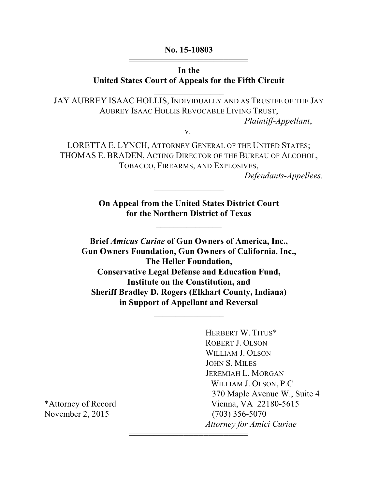#### **No. 15-10803** 444444444444444444444444

### **In the United States Court of Appeals for the Fifth Circuit**

\_\_\_\_\_\_\_\_\_\_\_\_\_\_\_\_

JAY AUBREY ISAAC HOLLIS, INDIVIDUALLY AND AS TRUSTEE OF THE JAY AUBREY ISAAC HOLLIS REVOCABLE LIVING TRUST, *Plaintiff-Appellant*,

v.

LORETTA E. LYNCH, ATTORNEY GENERAL OF THE UNITED STATES; THOMAS E. BRADEN, ACTING DIRECTOR OF THE BUREAU OF ALCOHOL, TOBACCO, FIREARMS, AND EXPLOSIVES,

*Defendants-Appellees.*

**On Appeal from the United States District Court for the Northern District of Texas**

 $\overline{\phantom{a}}$ 

 $\frac{1}{2}$  ,  $\frac{1}{2}$  ,  $\frac{1}{2}$  ,  $\frac{1}{2}$  ,  $\frac{1}{2}$  ,  $\frac{1}{2}$  ,  $\frac{1}{2}$  ,  $\frac{1}{2}$  ,  $\frac{1}{2}$ 

**Brief** *Amicus Curiae* **of Gun Owners of America, Inc., Gun Owners Foundation, Gun Owners of California, Inc., The Heller Foundation, Conservative Legal Defense and Education Fund, Institute on the Constitution, and Sheriff Bradley D. Rogers (Elkhart County, Indiana) in Support of Appellant and Reversal**

 $\frac{1}{2}$  ,  $\frac{1}{2}$  ,  $\frac{1}{2}$  ,  $\frac{1}{2}$  ,  $\frac{1}{2}$  ,  $\frac{1}{2}$  ,  $\frac{1}{2}$  ,  $\frac{1}{2}$  ,  $\frac{1}{2}$ 

444444444444444444444444

HERBERT W. TITUS\* ROBERT J. OLSON WILLIAM J. OLSON JOHN S. MILES JEREMIAH L. MORGAN WILLIAM J. OLSON, P.C 370 Maple Avenue W., Suite 4 \*Attorney of Record Vienna, VA 22180-5615 *Attorney for Amici Curiae*

November 2, 2015 (703) 356-5070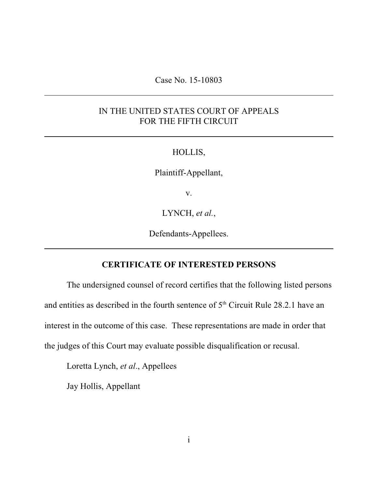#### Case No. 15-10803

# IN THE UNITED STATES COURT OF APPEALS FOR THE FIFTH CIRCUIT

#### HOLLIS,

Plaintiff-Appellant,

v.

LYNCH, *et al.*,

Defendants-Appellees.

#### **CERTIFICATE OF INTERESTED PERSONS**

The undersigned counsel of record certifies that the following listed persons and entities as described in the fourth sentence of  $5<sup>th</sup>$  Circuit Rule 28.2.1 have an interest in the outcome of this case. These representations are made in order that the judges of this Court may evaluate possible disqualification or recusal.

Loretta Lynch, *et al*., Appellees

Jay Hollis, Appellant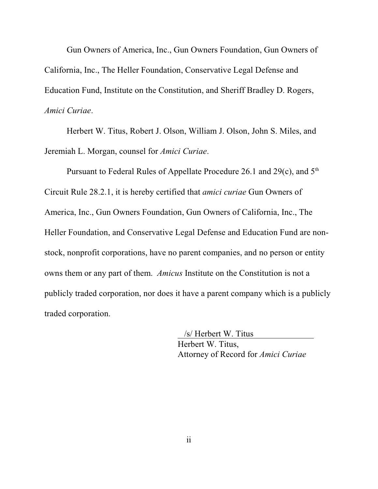Gun Owners of America, Inc., Gun Owners Foundation, Gun Owners of California, Inc., The Heller Foundation, Conservative Legal Defense and Education Fund, Institute on the Constitution, and Sheriff Bradley D. Rogers, *Amici Curiae*.

Herbert W. Titus, Robert J. Olson, William J. Olson, John S. Miles, and Jeremiah L. Morgan, counsel for *Amici Curiae*.

Pursuant to Federal Rules of Appellate Procedure 26.1 and 29 $(c)$ , and  $5<sup>th</sup>$ Circuit Rule 28.2.1, it is hereby certified that *amici curiae* Gun Owners of America, Inc., Gun Owners Foundation, Gun Owners of California, Inc., The Heller Foundation, and Conservative Legal Defense and Education Fund are nonstock, nonprofit corporations, have no parent companies, and no person or entity owns them or any part of them. *Amicus* Institute on the Constitution is not a publicly traded corporation, nor does it have a parent company which is a publicly traded corporation.

> /s/ Herbert W. Titus Herbert W. Titus, Attorney of Record for *Amici Curiae*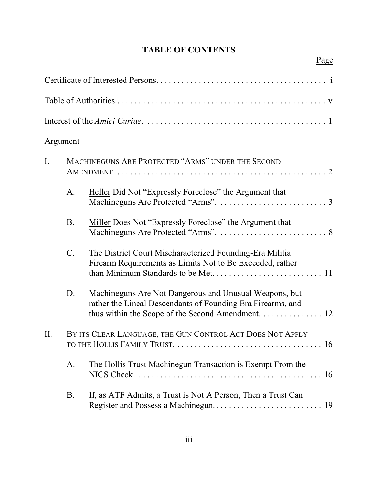# **TABLE OF CONTENTS**

Page

| Argument |           |                                                                                                                                                                            |
|----------|-----------|----------------------------------------------------------------------------------------------------------------------------------------------------------------------------|
| I.       |           | MACHINEGUNS ARE PROTECTED "ARMS" UNDER THE SECOND                                                                                                                          |
|          | A.        | Heller Did Not "Expressly Foreclose" the Argument that                                                                                                                     |
|          | <b>B.</b> | Miller Does Not "Expressly Foreclose" the Argument that                                                                                                                    |
|          | $C$ .     | The District Court Mischaracterized Founding-Era Militia<br>Firearm Requirements as Limits Not to Be Exceeded, rather                                                      |
|          | D.        | Machineguns Are Not Dangerous and Unusual Weapons, but<br>rather the Lineal Descendants of Founding Era Firearms, and<br>thus within the Scope of the Second Amendment. 12 |
| II.      |           | BY ITS CLEAR LANGUAGE, THE GUN CONTROL ACT DOES NOT APPLY                                                                                                                  |
|          | A.        | The Hollis Trust Machinegun Transaction is Exempt From the                                                                                                                 |
|          | <b>B.</b> | If, as ATF Admits, a Trust is Not A Person, Then a Trust Can                                                                                                               |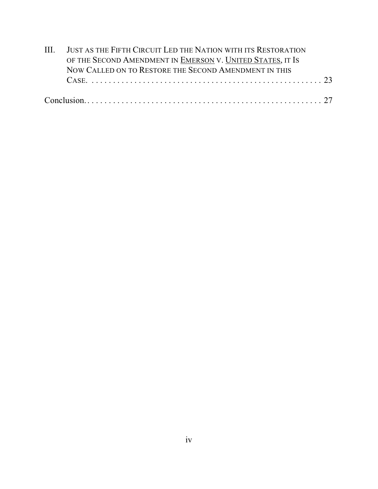|  | III. JUST AS THE FIFTH CIRCUIT LED THE NATION WITH ITS RESTORATION |  |  |  |  |
|--|--------------------------------------------------------------------|--|--|--|--|
|  | OF THE SECOND AMENDMENT IN EMERSON V. UNITED STATES, IT IS         |  |  |  |  |
|  | NOW CALLED ON TO RESTORE THE SECOND AMENDMENT IN THIS              |  |  |  |  |
|  |                                                                    |  |  |  |  |
|  |                                                                    |  |  |  |  |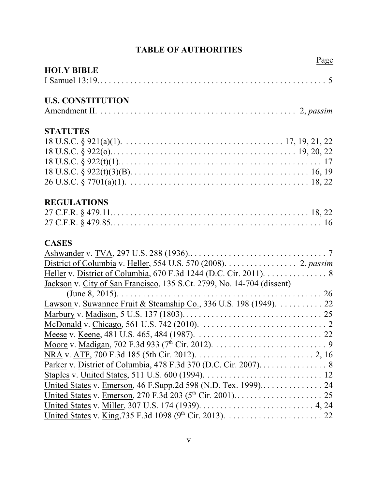# **TABLE OF AUTHORITIES**

|                                                                        | Page |
|------------------------------------------------------------------------|------|
| <b>HOLY BIBLE</b>                                                      |      |
|                                                                        |      |
| <b>U.S. CONSTITUTION</b>                                               |      |
|                                                                        |      |
| <b>STATUTES</b>                                                        |      |
|                                                                        |      |
|                                                                        |      |
|                                                                        |      |
|                                                                        |      |
|                                                                        |      |
| <b>REGULATIONS</b>                                                     |      |
|                                                                        |      |
|                                                                        |      |
| <b>CASES</b>                                                           |      |
|                                                                        |      |
| District of Columbia v. Heller, 554 U.S. 570 (2008). 2, passim         |      |
| Heller v. District of Columbia, 670 F.3d 1244 (D.C. Cir. 2011). 8      |      |
| Jackson v. City of San Francisco, 135 S.Ct. 2799, No. 14-704 (dissent) |      |
|                                                                        |      |
| Lawson v. Suwannee Fruit & Steamship Co., 336 U.S. 198 (1949). 22      |      |
|                                                                        |      |
|                                                                        |      |
|                                                                        |      |
|                                                                        |      |
|                                                                        |      |
| Parker v. District of Columbia, 478 F.3d 370 (D.C. Cir. 2007). 8       |      |
|                                                                        |      |
|                                                                        |      |
|                                                                        |      |
|                                                                        |      |
|                                                                        |      |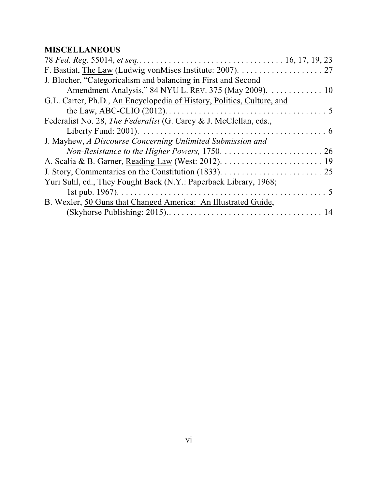# **MISCELLANEOUS**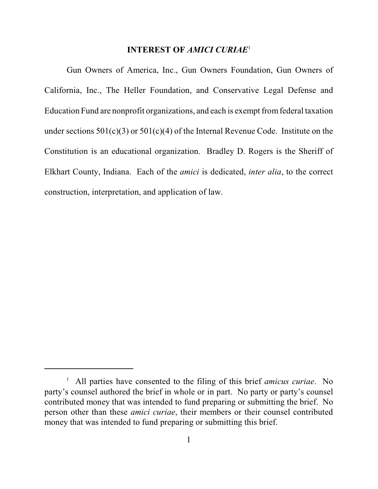#### **INTEREST OF** *AMICI CURIAE*<sup>1</sup>

Gun Owners of America, Inc., Gun Owners Foundation, Gun Owners of California, Inc., The Heller Foundation, and Conservative Legal Defense and Education Fund are nonprofit organizations, and each is exempt from federal taxation under sections  $501(c)(3)$  or  $501(c)(4)$  of the Internal Revenue Code. Institute on the Constitution is an educational organization. Bradley D. Rogers is the Sheriff of Elkhart County, Indiana. Each of the *amici* is dedicated, *inter alia*, to the correct construction, interpretation, and application of law.

<sup>&</sup>lt;sup>1</sup> All parties have consented to the filing of this brief *amicus curiae*. No party's counsel authored the brief in whole or in part. No party or party's counsel contributed money that was intended to fund preparing or submitting the brief. No person other than these *amici curiae*, their members or their counsel contributed money that was intended to fund preparing or submitting this brief.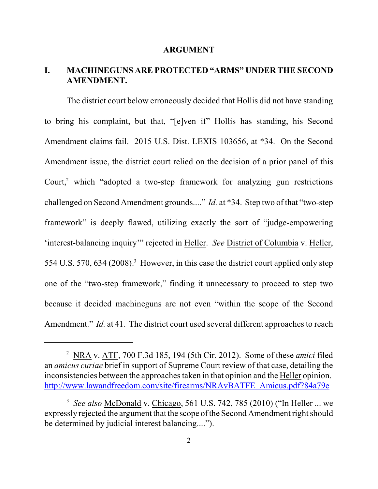#### **ARGUMENT**

# **I. MACHINEGUNS ARE PROTECTED "ARMS" UNDER THE SECOND AMENDMENT.**

The district court below erroneously decided that Hollis did not have standing to bring his complaint, but that, "[e]ven if" Hollis has standing, his Second Amendment claims fail. 2015 U.S. Dist. LEXIS 103656, at \*34. On the Second Amendment issue, the district court relied on the decision of a prior panel of this Court, $^2$  which "adopted a two-step framework for analyzing gun restrictions challenged on Second Amendment grounds...." *Id.* at \*34. Step two of that "two-step framework" is deeply flawed, utilizing exactly the sort of "judge-empowering 'interest-balancing inquiry'" rejected in Heller. *See* District of Columbia v. Heller, 554 U.S. 570, 634 (2008).<sup>3</sup> However, in this case the district court applied only step one of the "two-step framework," finding it unnecessary to proceed to step two because it decided machineguns are not even "within the scope of the Second Amendment." *Id.* at 41. The district court used several different approaches to reach

NRA v. ATF, 700 F.3d 185, 194 (5th Cir. 2012). Some of these *amici* filed <sup>2</sup> an *amicus curiae* brief in support of Supreme Court review of that case, detailing the inconsistencies between the approaches taken in that opinion and the Heller opinion. [http://www.lawandfreedom.com/site/firearms/NRAvBATFE\\_Amicus.pdf?84a79e](http://www.lawandfreedom.com/site/firearms/NRAvBATFE_Amicus.pdf?84a79e)

*See also* McDonald v. Chicago, 561 U.S. 742, 785 (2010) ("In Heller ... we <sup>3</sup> expressly rejected the argument that the scope of the Second Amendment right should be determined by judicial interest balancing....").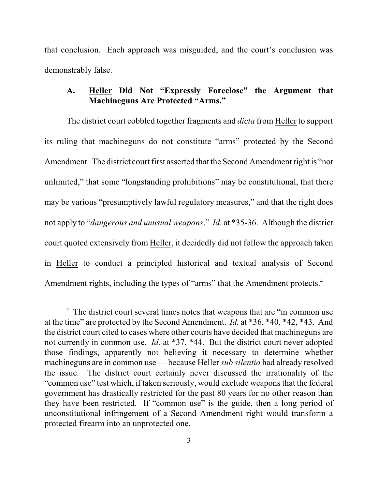that conclusion. Each approach was misguided, and the court's conclusion was demonstrably false.

# **A. Heller Did Not "Expressly Foreclose" the Argument that Machineguns Are Protected "Arms."**

The district court cobbled together fragments and *dicta* from Heller to support its ruling that machineguns do not constitute "arms" protected by the Second Amendment. The district court first asserted that the Second Amendment right is "not unlimited," that some "longstanding prohibitions" may be constitutional, that there may be various "presumptively lawful regulatory measures," and that the right does not apply to "*dangerous and unusual weapons*." *Id.* at \*35-36. Although the district court quoted extensively from Heller, it decidedly did not follow the approach taken in Heller to conduct a principled historical and textual analysis of Second Amendment rights, including the types of "arms" that the Amendment protects.<sup>4</sup>

<sup>&</sup>lt;sup>4</sup> The district court several times notes that weapons that are "in common use at the time" are protected by the Second Amendment. *Id.* at \*36, \*40, \*42, \*43. And the district court cited to cases where other courts have decided that machineguns are not currently in common use. *Id.* at \*37, \*44. But the district court never adopted those findings, apparently not believing it necessary to determine whether machineguns are in common use — because Heller *sub silentio* had already resolved the issue. The district court certainly never discussed the irrationality of the "common use" test which, if taken seriously, would exclude weapons that the federal government has drastically restricted for the past 80 years for no other reason than they have been restricted. If "common use" is the guide, then a long period of unconstitutional infringement of a Second Amendment right would transform a protected firearm into an unprotected one.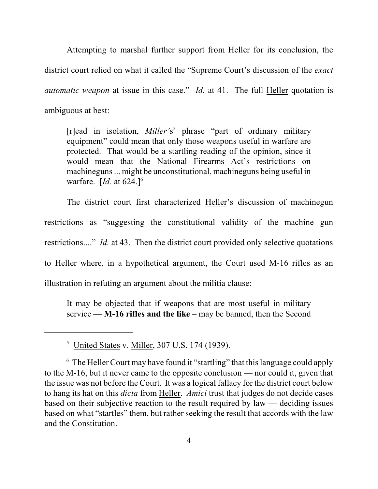Attempting to marshal further support from Heller for its conclusion, the district court relied on what it called the "Supreme Court's discussion of the *exact automatic weapon* at issue in this case." *Id.* at 41. The full Heller quotation is ambiguous at best:

[r]ead in isolation, *Miller's*<sup>5</sup> phrase "part of ordinary military equipment" could mean that only those weapons useful in warfare are protected. That would be a startling reading of the opinion, since it would mean that the National Firearms Act's restrictions on machineguns ... might be unconstitutional, machineguns being useful in warfare. [*Id.* at 624.]<sup>6</sup>

The district court first characterized Heller's discussion of machinegun restrictions as "suggesting the constitutional validity of the machine gun restrictions...." *Id.* at 43. Then the district court provided only selective quotations to Heller where, in a hypothetical argument, the Court used M-16 rifles as an illustration in refuting an argument about the militia clause:

It may be objected that if weapons that are most useful in military service — **M-16 rifles and the like** – may be banned, then the Second

 $<sup>5</sup>$  United States v. Miller, 307 U.S. 174 (1939).</sup>

<sup>&</sup>lt;sup>6</sup> The Heller Court may have found it "startling" that this language could apply to the M-16, but it never came to the opposite conclusion — nor could it, given that the issue was not before the Court. It was a logical fallacy for the district court below to hang its hat on this *dicta* from Heller. *Amici* trust that judges do not decide cases based on their subjective reaction to the result required by law — deciding issues based on what "startles" them, but rather seeking the result that accords with the law and the Constitution.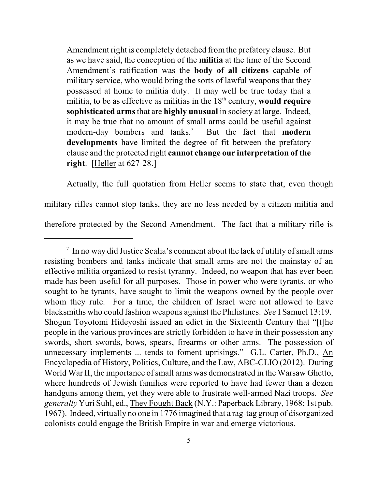Amendment right is completely detached fromthe prefatory clause. But as we have said, the conception of the **militia** at the time of the Second Amendment's ratification was the **body of all citizens** capable of military service, who would bring the sorts of lawful weapons that they possessed at home to militia duty. It may well be true today that a militia, to be as effective as militias in the 18<sup>th</sup> century, would require **sophisticated arms** that are **highly unusual** in society at large. Indeed, it may be true that no amount of small arms could be useful against modern-day bombers and tanks.<sup>7</sup> But the fact that **modern developments** have limited the degree of fit between the prefatory clause and the protected right **cannot change our interpretation of the right**. [Heller at 627-28.]

Actually, the full quotation from Heller seems to state that, even though military rifles cannot stop tanks, they are no less needed by a citizen militia and therefore protected by the Second Amendment. The fact that a military rifle is

 $\frac{1}{2}$  In no way did Justice Scalia's comment about the lack of utility of small arms resisting bombers and tanks indicate that small arms are not the mainstay of an effective militia organized to resist tyranny. Indeed, no weapon that has ever been made has been useful for all purposes. Those in power who were tyrants, or who sought to be tyrants, have sought to limit the weapons owned by the people over whom they rule. For a time, the children of Israel were not allowed to have blacksmiths who could fashion weapons against the Philistines. *See* I Samuel 13:19. Shogun Toyotomi Hideyoshi issued an edict in the Sixteenth Century that "[t]he people in the various provinces are strictly forbidden to have in their possession any swords, short swords, bows, spears, firearms or other arms. The possession of unnecessary implements ... tends to foment uprisings." G.L. Carter, Ph.D., An Encyclopedia of History, Politics, Culture, and the Law, ABC-CLIO (2012). During World War II, the importance of small arms was demonstrated in the Warsaw Ghetto, where hundreds of Jewish families were reported to have had fewer than a dozen handguns among them, yet they were able to frustrate well-armed Nazi troops. *See generally* Yuri Suhl, ed., They Fought Back (N.Y.: Paperback Library, 1968; 1st pub. 1967). Indeed, virtually no one in 1776 imagined that a rag-tag group of disorganized colonists could engage the British Empire in war and emerge victorious.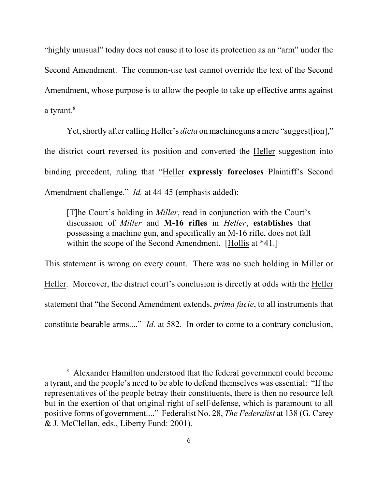"highly unusual" today does not cause it to lose its protection as an "arm" under the Second Amendment. The common-use test cannot override the text of the Second Amendment, whose purpose is to allow the people to take up effective arms against a tyrant.<sup>8</sup>

Yet, shortly after calling Heller's *dicta* on machineguns a mere "suggest[ion]," the district court reversed its position and converted the Heller suggestion into binding precedent, ruling that "Heller **expressly forecloses** Plaintiff's Second Amendment challenge." *Id.* at 44-45 (emphasis added):

[T]he Court's holding in *Miller*, read in conjunction with the Court's discussion of *Miller* and **M-16 rifles** in *Heller*, **establishes** that possessing a machine gun, and specifically an M-16 rifle, does not fall within the scope of the Second Amendment. [Hollis at \*41.]

This statement is wrong on every count. There was no such holding in Miller or Heller. Moreover, the district court's conclusion is directly at odds with the Heller statement that "the Second Amendment extends, *prima facie*, to all instruments that constitute bearable arms...." *Id.* at 582. In order to come to a contrary conclusion,

<sup>&</sup>lt;sup>8</sup> Alexander Hamilton understood that the federal government could become a tyrant, and the people's need to be able to defend themselves was essential: "If the representatives of the people betray their constituents, there is then no resource left but in the exertion of that original right of self-defense, which is paramount to all positive forms of government...." Federalist No. 28, *The Federalist* at 138 (G. Carey & J. McClellan, eds., Liberty Fund: 2001).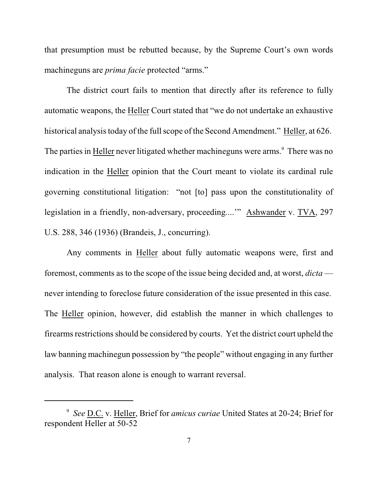that presumption must be rebutted because, by the Supreme Court's own words machineguns are *prima facie* protected "arms."

The district court fails to mention that directly after its reference to fully automatic weapons, the Heller Court stated that "we do not undertake an exhaustive historical analysis today of the full scope of the Second Amendment." Heller, at 626. The parties in Heller never litigated whether machineguns were arms.<sup>9</sup> There was no indication in the Heller opinion that the Court meant to violate its cardinal rule governing constitutional litigation: "not [to] pass upon the constitutionality of legislation in a friendly, non-adversary, proceeding....'" Ashwander v. TVA, 297 U.S. 288, 346 (1936) (Brandeis, J., concurring).

Any comments in Heller about fully automatic weapons were, first and foremost, comments as to the scope of the issue being decided and, at worst, *dicta* never intending to foreclose future consideration of the issue presented in this case. The Heller opinion, however, did establish the manner in which challenges to firearms restrictions should be considered by courts. Yet the district court upheld the law banning machinegun possession by "the people" without engaging in any further analysis. That reason alone is enough to warrant reversal.

<sup>&</sup>lt;sup>9</sup> See D.C. v. Heller, Brief for *amicus curiae* United States at 20-24; Brief for respondent Heller at 50-52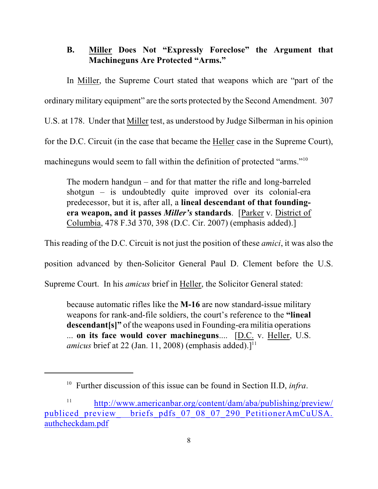# **B. Miller Does Not "Expressly Foreclose" the Argument that Machineguns Are Protected "Arms."**

In Miller, the Supreme Court stated that weapons which are "part of the ordinary military equipment" are the sorts protected by the Second Amendment. 307 U.S. at 178. Under that Miller test, as understood by Judge Silberman in his opinion for the D.C. Circuit (in the case that became the Heller case in the Supreme Court), machineguns would seem to fall within the definition of protected "arms."<sup>10</sup>

The modern handgun – and for that matter the rifle and long-barreled shotgun – is undoubtedly quite improved over its colonial-era predecessor, but it is, after all, a **lineal descendant of that foundingera weapon, and it passes** *Miller's* **standards**. [Parker v. District of Columbia, 478 F.3d 370, 398 (D.C. Cir. 2007) (emphasis added).]

This reading of the D.C. Circuit is not just the position of these *amici*, it was also the

position advanced by then-Solicitor General Paul D. Clement before the U.S.

Supreme Court. In his *amicus* brief in Heller, the Solicitor General stated:

because automatic rifles like the **M-16** are now standard-issue military weapons for rank-and-file soldiers, the court's reference to the **"lineal descendant[s]"** of the weapons used in Founding-era militia operations ... **on its face would cover machineguns**.... [D.C. v. Heller, U.S. amicus brief at 22 (Jan. 11, 2008) (emphasis added).]<sup>11</sup>

<sup>&</sup>lt;sup>10</sup> Further discussion of this issue can be found in Section II.D, *infra*.

<sup>11</sup> [http://www.americanbar.org/content/dam/aba/publishing/preview/](http://www.americanbar.org/content/dam/aba/publishing/preview/publiced_preview_briefs_pdfs_07_08_07_290_PetitionerAmCuUSA.authcheckdam.pdf) publiced\_preview\_ [briefs\\_pdfs\\_07\\_08\\_07\\_290\\_PetitionerAmCuUSA.](http://www.americanbar.org/content/dam/aba/publishing/preview/publiced_preview_briefs_pdfs_07_08_07_290_PetitionerAmCuUSA.authcheckdam.pdf) [authcheckdam.pdf](http://www.americanbar.org/content/dam/aba/publishing/preview/publiced_preview_briefs_pdfs_07_08_07_290_PetitionerAmCuUSA.authcheckdam.pdf)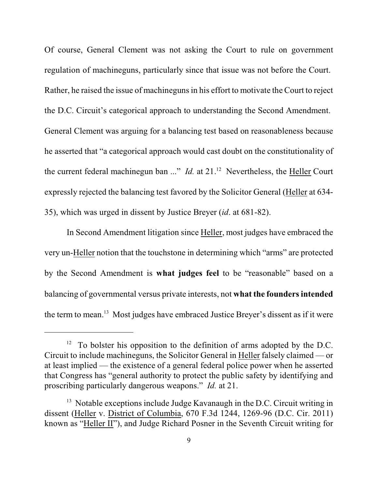Of course, General Clement was not asking the Court to rule on government regulation of machineguns, particularly since that issue was not before the Court. Rather, he raised the issue of machineguns in his effort to motivate the Court to reject the D.C. Circuit's categorical approach to understanding the Second Amendment. General Clement was arguing for a balancing test based on reasonableness because he asserted that "a categorical approach would cast doubt on the constitutionality of the current federal machinegun ban ..." *Id.* at 21.<sup>12</sup> Nevertheless, the Heller Court expressly rejected the balancing test favored by the Solicitor General (Heller at 634- 35), which was urged in dissent by Justice Breyer (*id*. at 681-82).

In Second Amendment litigation since Heller, most judges have embraced the very un-Heller notion that the touchstone in determining which "arms" are protected by the Second Amendment is **what judges feel** to be "reasonable" based on a balancing of governmental versus private interests, not **what the foundersintended** the term to mean.<sup>13</sup> Most judges have embraced Justice Breyer's dissent as if it were

 $12$  To bolster his opposition to the definition of arms adopted by the D.C. Circuit to include machineguns, the Solicitor General in Heller falsely claimed — or at least implied — the existence of a general federal police power when he asserted that Congress has "general authority to protect the public safety by identifying and proscribing particularly dangerous weapons." *Id.* at 21.

 $13$  Notable exceptions include Judge Kavanaugh in the D.C. Circuit writing in dissent (Heller v. District of Columbia, 670 F.3d 1244, 1269-96 (D.C. Cir. 2011) known as "Heller II"), and Judge Richard Posner in the Seventh Circuit writing for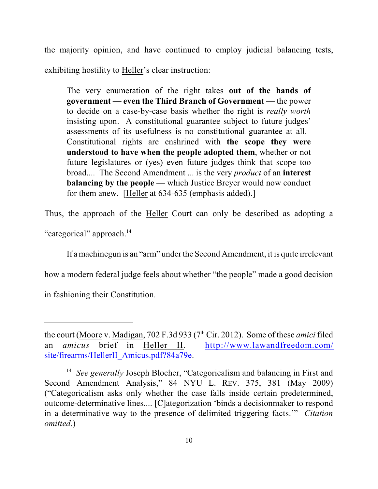the majority opinion, and have continued to employ judicial balancing tests, exhibiting hostility to Heller's clear instruction:

The very enumeration of the right takes **out of the hands of government — even the Third Branch of Government** — the power to decide on a case-by-case basis whether the right is *really worth* insisting upon. A constitutional guarantee subject to future judges' assessments of its usefulness is no constitutional guarantee at all. Constitutional rights are enshrined with **the scope they were understood to have when the people adopted them**, whether or not future legislatures or (yes) even future judges think that scope too broad.... The Second Amendment ... is the very *product* of an **interest balancing** by the people — which Justice Breyer would now conduct for them anew. [Heller at 634-635 (emphasis added).]

Thus, the approach of the Heller Court can only be described as adopting a "categorical" approach.<sup>14</sup>

If a machinegun is an "arm" under the Second Amendment, it is quite irrelevant

how a modern federal judge feels about whether "the people" made a good decision

in fashioning their Constitution.

the court (Moore v. Madigan,  $702$  F.3d  $933$  ( $7<sup>th</sup>$  Cir. 2012). Some of these *amici* filed an *amicus* brief in Heller II. [http://www.lawandfreedom.com/](http://www.lawandfreedom.com/site/firearms/HellerII_Amicus.pdf?84a79e) [site/firearms/HellerII\\_Amicus.pdf?84a79e](http://www.lawandfreedom.com/site/firearms/HellerII_Amicus.pdf?84a79e).

<sup>&</sup>lt;sup>14</sup> See generally Joseph Blocher, "Categoricalism and balancing in First and Second Amendment Analysis," 84 NYU L. REV. 375, 381 (May 2009) ("Categoricalism asks only whether the case falls inside certain predetermined, outcome-determinative lines.... [C]ategorization 'binds a decisionmaker to respond in a determinative way to the presence of delimited triggering facts.'" *Citation omitted*.)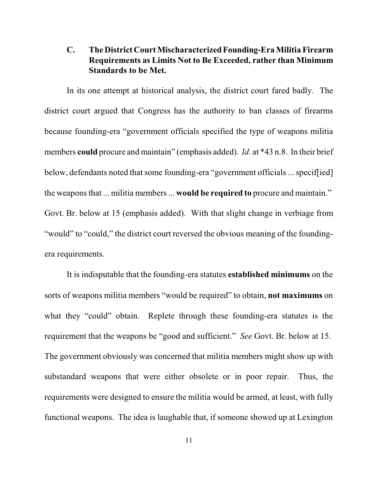# **C. The District Court Mischaracterized Founding-EraMilitia Firearm Requirements as Limits Not to Be Exceeded, rather than Minimum Standards to be Met.**

In its one attempt at historical analysis, the district court fared badly. The district court argued that Congress has the authority to ban classes of firearms because founding-era "government officials specified the type of weapons militia members **could** procure and maintain" (emphasis added). *Id.* at \*43 n.8. In their brief below, defendants noted that some founding-era "government officials ... specif[ied] the weapons that ... militia members... **would be required to** procure and maintain." Govt. Br. below at 15 (emphasis added). With that slight change in verbiage from "would" to "could," the district court reversed the obvious meaning of the foundingera requirements.

It is indisputable that the founding-era statutes **established minimums** on the sorts of weapons militia members "would be required" to obtain, **not maximums** on what they "could" obtain. Replete through these founding-era statutes is the requirement that the weapons be "good and sufficient." *See* Govt. Br. below at 15. The government obviously was concerned that militia members might show up with substandard weapons that were either obsolete or in poor repair. Thus, the requirements were designed to ensure the militia would be armed, at least, with fully functional weapons. The idea is laughable that, if someone showed up at Lexington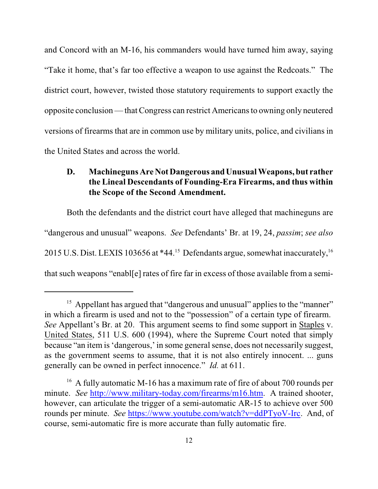and Concord with an M-16, his commanders would have turned him away, saying "Take it home, that's far too effective a weapon to use against the Redcoats." The district court, however, twisted those statutory requirements to support exactly the opposite conclusion — thatCongress can restrict Americans to owning only neutered versions of firearms that are in common use by military units, police, and civilians in the United States and across the world.

### **D. Machineguns Are Not Dangerous and Unusual Weapons, but rather the Lineal Descendants of Founding-Era Firearms, and thus within the Scope of the Second Amendment.**

Both the defendants and the district court have alleged that machineguns are "dangerous and unusual" weapons. *See* Defendants' Br. at 19, 24, *passim*; *see also* 2015 U.S. Dist. LEXIS 103656 at  $*44.15$  Defendants argue, somewhat inaccurately,  $^{16}$ that such weapons "enabl[e] rates of fire far in excess of those available from a semi-

<sup>&</sup>lt;sup>15</sup> Appellant has argued that "dangerous and unusual" applies to the "manner" in which a firearm is used and not to the "possession" of a certain type of firearm. *See* Appellant's Br. at 20. This argument seems to find some support in Staples v. United States, 511 U.S. 600 (1994), where the Supreme Court noted that simply because "an item is 'dangerous,' in some general sense, does not necessarily suggest, as the government seems to assume, that it is not also entirely innocent. ... guns generally can be owned in perfect innocence." *Id.* at 611.

<sup>&</sup>lt;sup>16</sup> A fully automatic M-16 has a maximum rate of fire of about 700 rounds per minute. *See* <http://www.military-today.com/firearms/m16.htm>. A trained shooter, however, can articulate the trigger of a semi-automatic AR-15 to achieve over 500 rounds per minute. *See* <https://www.youtube.com/watch?v=ddPTyoV-Irc>. And, of course, semi-automatic fire is more accurate than fully automatic fire.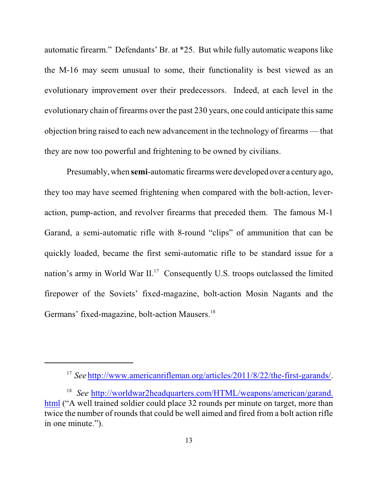automatic firearm." Defendants' Br. at \*25. But while fully automatic weapons like the M-16 may seem unusual to some, their functionality is best viewed as an evolutionary improvement over their predecessors. Indeed, at each level in the evolutionary chain of firearms over the past 230 years, one could anticipate thissame objection bring raised to each new advancement in the technology of firearms — that they are now too powerful and frightening to be owned by civilians.

Presumably, when **semi**-automatic firearms were developed over a century ago, they too may have seemed frightening when compared with the bolt-action, leveraction, pump-action, and revolver firearms that preceded them. The famous M-1 Garand, a semi-automatic rifle with 8-round "clips" of ammunition that can be quickly loaded, became the first semi-automatic rifle to be standard issue for a nation's army in World War  $II^{17}$  Consequently U.S. troops outclassed the limited firepower of the Soviets' fixed-magazine, bolt-action Mosin Nagants and the Germans' fixed-magazine, bolt-action Mausers.<sup>18</sup>

<sup>&</sup>lt;sup>17</sup> See <http://www.americanrifleman.org/articles/2011/8/22/the-first-garands/>.

<sup>&</sup>lt;sup>18</sup> See [http://worldwar2headquarters.com/HTML/weapons/american/garand.](http://worldwar2headquarters.com/HTML/weapons/american/garand.html) [html](http://worldwar2headquarters.com/HTML/weapons/american/garand.html) ("A well trained soldier could place 32 rounds per minute on target, more than twice the number of rounds that could be well aimed and fired from a bolt action rifle in one minute.").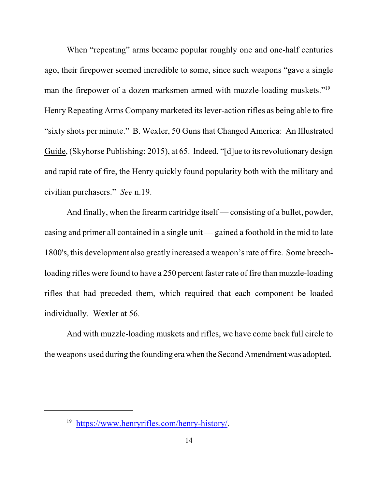When "repeating" arms became popular roughly one and one-half centuries ago, their firepower seemed incredible to some, since such weapons "gave a single man the firepower of a dozen marksmen armed with muzzle-loading muskets."<sup>19</sup> Henry Repeating Arms Company marketed its lever-action rifles as being able to fire "sixty shots per minute." B. Wexler, 50 Guns that Changed America: An Illustrated Guide, (Skyhorse Publishing: 2015), at 65. Indeed, "[d]ue to its revolutionary design and rapid rate of fire, the Henry quickly found popularity both with the military and civilian purchasers." *See* n.19.

And finally, when the firearm cartridge itself — consisting of a bullet, powder, casing and primer all contained in a single unit — gained a foothold in the mid to late 1800's, this development also greatly increased a weapon's rate of fire. Some breechloading rifles were found to have a 250 percent faster rate of fire than muzzle-loading rifles that had preceded them, which required that each component be loaded individually. Wexler at 56.

And with muzzle-loading muskets and rifles, we have come back full circle to the weapons used during the founding era when the Second Amendment was adopted.

<sup>&</sup>lt;sup>19</sup> <https://www.henryrifles.com/henry-history/>.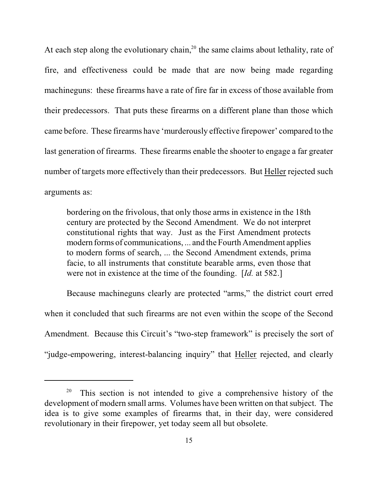At each step along the evolutionary chain,<sup>20</sup> the same claims about lethality, rate of fire, and effectiveness could be made that are now being made regarding machineguns: these firearms have a rate of fire far in excess of those available from their predecessors. That puts these firearms on a different plane than those which came before. These firearms have 'murderously effective firepower' compared to the last generation of firearms. These firearms enable the shooter to engage a far greater number of targets more effectively than their predecessors. But Heller rejected such arguments as:

bordering on the frivolous, that only those arms in existence in the 18th century are protected by the Second Amendment. We do not interpret constitutional rights that way. Just as the First Amendment protects modern forms of communications, ... and the Fourth Amendment applies to modern forms of search, ... the Second Amendment extends, prima facie, to all instruments that constitute bearable arms, even those that were not in existence at the time of the founding. [*Id.* at 582.]

Because machineguns clearly are protected "arms," the district court erred when it concluded that such firearms are not even within the scope of the Second Amendment. Because this Circuit's "two-step framework" is precisely the sort of "judge-empowering, interest-balancing inquiry" that Heller rejected, and clearly

This section is not intended to give a comprehensive history of the 20 development of modern small arms. Volumes have been written on that subject. The idea is to give some examples of firearms that, in their day, were considered revolutionary in their firepower, yet today seem all but obsolete.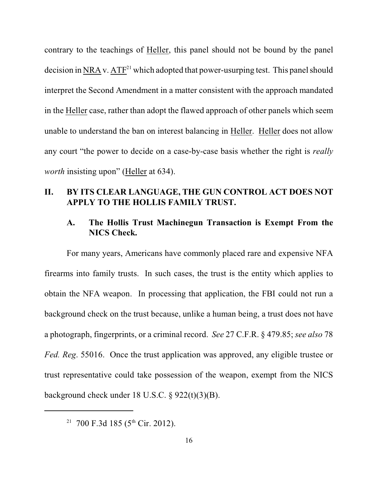contrary to the teachings of Heller, this panel should not be bound by the panel decision in NRA v.  $ATF<sup>21</sup>$  which adopted that power-usurping test. This panel should interpret the Second Amendment in a matter consistent with the approach mandated in the Heller case, rather than adopt the flawed approach of other panels which seem unable to understand the ban on interest balancing in Heller. Heller does not allow any court "the power to decide on a case-by-case basis whether the right is *really worth* insisting upon" (Heller at 634).

## **II. BY ITS CLEAR LANGUAGE, THE GUN CONTROL ACT DOES NOT APPLY TO THE HOLLIS FAMILY TRUST.**

#### **A. The Hollis Trust Machinegun Transaction is Exempt From the NICS Check.**

For many years, Americans have commonly placed rare and expensive NFA firearms into family trusts. In such cases, the trust is the entity which applies to obtain the NFA weapon. In processing that application, the FBI could not run a background check on the trust because, unlike a human being, a trust does not have a photograph, fingerprints, or a criminal record. *See* 27 C.F.R. § 479.85; *see also* 78 *Fed. Reg*. 55016. Once the trust application was approved, any eligible trustee or trust representative could take possession of the weapon, exempt from the NICS background check under 18 U.S.C. § 922(t)(3)(B).

<sup>&</sup>lt;sup>21</sup> 700 F.3d 185 (5<sup>th</sup> Cir. 2012).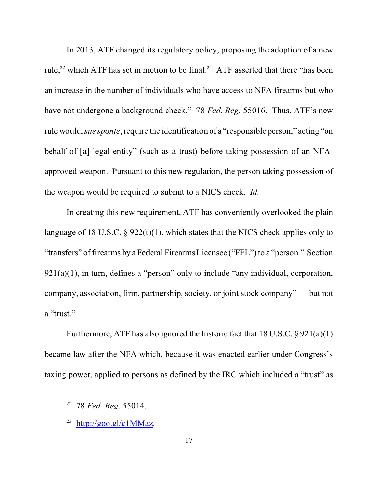In 2013, ATF changed its regulatory policy, proposing the adoption of a new rule,<sup>22</sup> which ATF has set in motion to be final.<sup>23</sup> ATF asserted that there "has been an increase in the number of individuals who have access to NFA firearms but who have not undergone a background check." 78 *Fed. Reg*. 55016. Thus, ATF's new rule would, *sue sponte*, require the identification of a "responsible person," acting "on behalf of [a] legal entity" (such as a trust) before taking possession of an NFAapproved weapon. Pursuant to this new regulation, the person taking possession of the weapon would be required to submit to a NICS check. *Id.*

In creating this new requirement, ATF has conveniently overlooked the plain language of 18 U.S.C.  $\S$  922(t)(1), which states that the NICS check applies only to "transfers" of firearms by a Federal Firearms Licensee ("FFL") to a "person." Section  $921(a)(1)$ , in turn, defines a "person" only to include "any individual, corporation, company, association, firm, partnership, society, or joint stock company" — but not a "trust."

Furthermore, ATF has also ignored the historic fact that 18 U.S.C. § 921(a)(1) became law after the NFA which, because it was enacted earlier under Congress's taxing power, applied to persons as defined by the IRC which included a "trust" as

<sup>&</sup>lt;sup>22</sup> 78 *Fed. Reg.* 55014.

<sup>&</sup>lt;sup>23</sup> <http://goo.gl/c1MMaz>.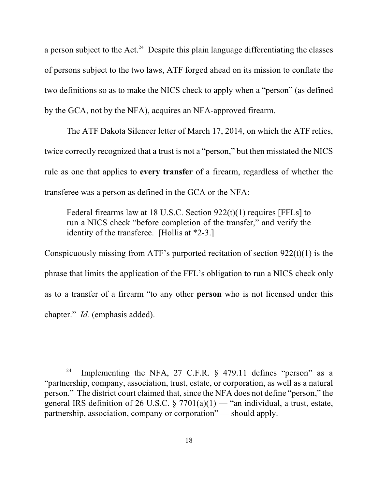a person subject to the  $Act.^{24}$  Despite this plain language differentiating the classes of persons subject to the two laws, ATF forged ahead on its mission to conflate the two definitions so as to make the NICS check to apply when a "person" (as defined by the GCA, not by the NFA), acquires an NFA-approved firearm.

The ATF Dakota Silencer letter of March 17, 2014, on which the ATF relies, twice correctly recognized that a trust is not a "person," but then misstated the NICS rule as one that applies to **every transfer** of a firearm, regardless of whether the transferee was a person as defined in the GCA or the NFA:

Federal firearms law at 18 U.S.C. Section 922(t)(1) requires [FFLs] to run a NICS check "before completion of the transfer," and verify the identity of the transferee. [Hollis at \*2-3.]

Conspicuously missing from ATF's purported recitation of section  $922(t)(1)$  is the phrase that limits the application of the FFL's obligation to run a NICS check only as to a transfer of a firearm "to any other **person** who is not licensed under this chapter." *Id.* (emphasis added).

Implementing the NFA, 27 C.F.R. § 479.11 defines "person" as a 24 "partnership, company, association, trust, estate, or corporation, as well as a natural person." The district court claimed that, since the NFA does not define "person," the general IRS definition of 26 U.S.C.  $\S 7701(a)(1)$  — "an individual, a trust, estate, partnership, association, company or corporation" — should apply.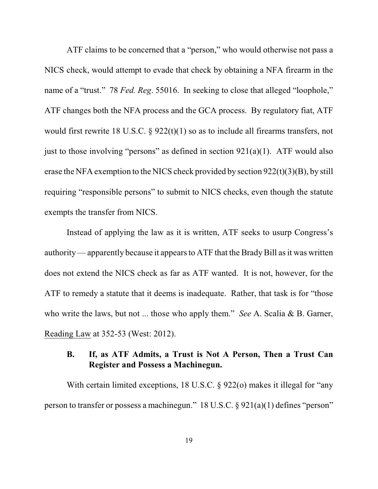ATF claims to be concerned that a "person," who would otherwise not pass a NICS check, would attempt to evade that check by obtaining a NFA firearm in the name of a "trust." 78 *Fed. Reg*. 55016. In seeking to close that alleged "loophole," ATF changes both the NFA process and the GCA process. By regulatory fiat, ATF would first rewrite 18 U.S.C.  $\S$  922(t)(1) so as to include all firearms transfers, not just to those involving "persons" as defined in section  $921(a)(1)$ . ATF would also erase the NFA exemption to the NICS check provided by section 922(t)(3)(B), by still requiring "responsible persons" to submit to NICS checks, even though the statute exempts the transfer from NICS.

Instead of applying the law as it is written, ATF seeks to usurp Congress's authority—apparently because it appears to ATF that the Brady Bill as it was written does not extend the NICS check as far as ATF wanted. It is not, however, for the ATF to remedy a statute that it deems is inadequate. Rather, that task is for "those who write the laws, but not ... those who apply them." *See* A. Scalia & B. Garner, Reading Law at 352-53 (West: 2012).

### **B. If, as ATF Admits, a Trust is Not A Person, Then a Trust Can Register and Possess a Machinegun.**

With certain limited exceptions, 18 U.S.C. § 922(o) makes it illegal for "any person to transfer or possess a machinegun." 18 U.S.C. § 921(a)(1) defines "person"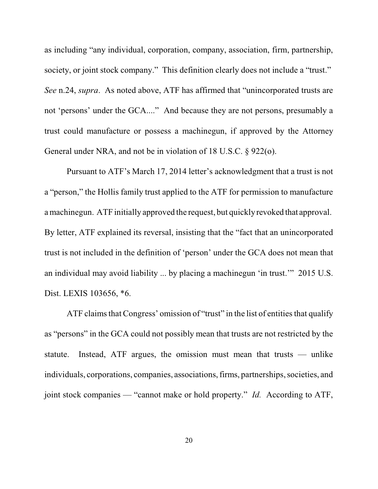as including "any individual, corporation, company, association, firm, partnership, society, or joint stock company." This definition clearly does not include a "trust." *See* n.24, *supra*. As noted above, ATF has affirmed that "unincorporated trusts are not 'persons' under the GCA...." And because they are not persons, presumably a trust could manufacture or possess a machinegun, if approved by the Attorney General under NRA, and not be in violation of 18 U.S.C. § 922(o).

Pursuant to ATF's March 17, 2014 letter's acknowledgment that a trust is not a "person," the Hollis family trust applied to the ATF for permission to manufacture a machinegun. ATF initially approved the request, but quickly revoked that approval. By letter, ATF explained its reversal, insisting that the "fact that an unincorporated trust is not included in the definition of 'person' under the GCA does not mean that an individual may avoid liability ... by placing a machinegun 'in trust.'" 2015 U.S. Dist. LEXIS 103656, \*6.

ATF claims that Congress' omission of "trust" in the list of entities that qualify as "persons" in the GCA could not possibly mean that trusts are not restricted by the statute. Instead, ATF argues, the omission must mean that trusts — unlike individuals, corporations, companies, associations, firms, partnerships, societies, and joint stock companies — "cannot make or hold property." *Id.* According to ATF,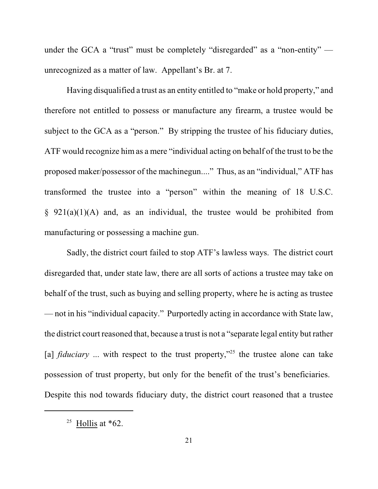under the GCA a "trust" must be completely "disregarded" as a "non-entity" unrecognized as a matter of law. Appellant's Br. at 7.

Having disqualified a trust as an entity entitled to "make or hold property," and therefore not entitled to possess or manufacture any firearm, a trustee would be subject to the GCA as a "person." By stripping the trustee of his fiduciary duties, ATF would recognize him as a mere "individual acting on behalf of the trust to be the proposed maker/possessor of the machinegun...." Thus, as an "individual," ATF has transformed the trustee into a "person" within the meaning of 18 U.S.C.  $§$  921(a)(1)(A) and, as an individual, the trustee would be prohibited from manufacturing or possessing a machine gun.

Sadly, the district court failed to stop ATF's lawless ways. The district court disregarded that, under state law, there are all sorts of actions a trustee may take on behalf of the trust, such as buying and selling property, where he is acting as trustee — not in his "individual capacity." Purportedly acting in accordance with State law, the district court reasoned that, because a trust is not a "separate legal entity but rather [a] *fiduciary* ... with respect to the trust property,"<sup>25</sup> the trustee alone can take possession of trust property, but only for the benefit of the trust's beneficiaries. Despite this nod towards fiduciary duty, the district court reasoned that a trustee

<sup>&</sup>lt;sup>25</sup> Hollis at  $*62$ .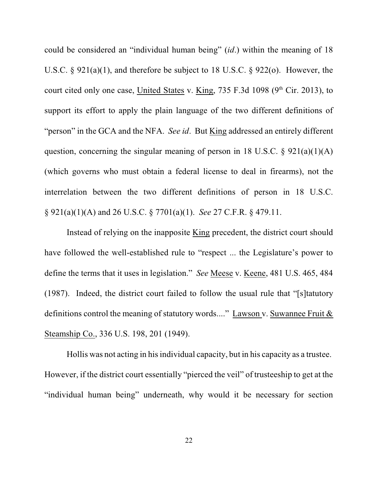could be considered an "individual human being" (*id*.) within the meaning of 18 U.S.C. § 921(a)(1), and therefore be subject to 18 U.S.C. § 922(o). However, the court cited only one case, United States v. King,  $735$  F.3d 1098 ( $9<sup>th</sup>$  Cir. 2013), to support its effort to apply the plain language of the two different definitions of "person" in the GCA and the NFA. *See id*. But King addressed an entirely different question, concerning the singular meaning of person in 18 U.S.C.  $\S$  921(a)(1)(A) (which governs who must obtain a federal license to deal in firearms), not the interrelation between the two different definitions of person in 18 U.S.C. § 921(a)(1)(A) and 26 U.S.C. § 7701(a)(1). *See* 27 C.F.R. § 479.11.

Instead of relying on the inapposite King precedent, the district court should have followed the well-established rule to "respect ... the Legislature's power to define the terms that it uses in legislation." *See* Meese v. Keene, 481 U.S. 465, 484 (1987). Indeed, the district court failed to follow the usual rule that "[s]tatutory definitions control the meaning of statutory words...." Lawson v. Suwannee Fruit & Steamship Co., 336 U.S. 198, 201 (1949).

Hollis was not acting in his individual capacity, but in his capacity as a trustee. However, if the district court essentially "pierced the veil" of trusteeship to get at the "individual human being" underneath, why would it be necessary for section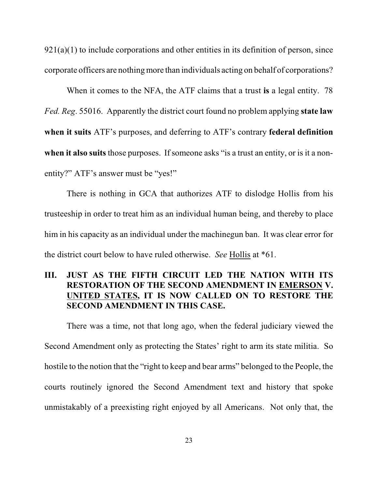$921(a)(1)$  to include corporations and other entities in its definition of person, since corporate officers are nothing more than individuals acting on behalf of corporations?

When it comes to the NFA, the ATF claims that a trust **is** a legal entity. 78 *Fed. Reg*. 55016. Apparently the district court found no problem applying **state law when it suits** ATF's purposes, and deferring to ATF's contrary **federal definition** when it also suits those purposes. If someone asks "is a trust an entity, or is it a nonentity?" ATF's answer must be "yes!"

There is nothing in GCA that authorizes ATF to dislodge Hollis from his trusteeship in order to treat him as an individual human being, and thereby to place him in his capacity as an individual under the machinegun ban. It was clear error for the district court below to have ruled otherwise. *See* Hollis at \*61.

# **III. JUST AS THE FIFTH CIRCUIT LED THE NATION WITH ITS RESTORATION OF THE SECOND AMENDMENT IN EMERSON V. UNITED STATES, IT IS NOW CALLED ON TO RESTORE THE SECOND AMENDMENT IN THIS CASE.**

There was a time, not that long ago, when the federal judiciary viewed the Second Amendment only as protecting the States' right to arm its state militia. So hostile to the notion that the "right to keep and bear arms" belonged to the People, the courts routinely ignored the Second Amendment text and history that spoke unmistakably of a preexisting right enjoyed by all Americans. Not only that, the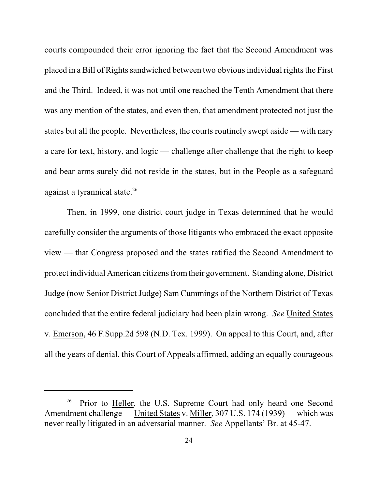courts compounded their error ignoring the fact that the Second Amendment was placed in a Bill of Rights sandwiched between two obvious individual rights the First and the Third. Indeed, it was not until one reached the Tenth Amendment that there was any mention of the states, and even then, that amendment protected not just the states but all the people. Nevertheless, the courts routinely swept aside — with nary a care for text, history, and logic — challenge after challenge that the right to keep and bear arms surely did not reside in the states, but in the People as a safeguard against a tyrannical state.<sup>26</sup>

Then, in 1999, one district court judge in Texas determined that he would carefully consider the arguments of those litigants who embraced the exact opposite view — that Congress proposed and the states ratified the Second Amendment to protect individual American citizens fromtheir government. Standing alone, District Judge (now Senior District Judge) Sam Cummings of the Northern District of Texas concluded that the entire federal judiciary had been plain wrong. *See* United States v. Emerson, 46 F.Supp.2d 598 (N.D. Tex. 1999). On appeal to this Court, and, after all the years of denial, this Court of Appeals affirmed, adding an equally courageous

 $26$  Prior to Heller, the U.S. Supreme Court had only heard one Second Amendment challenge — United States v. Miller, 307 U.S. 174 (1939) — which was never really litigated in an adversarial manner. *See* Appellants' Br. at 45-47.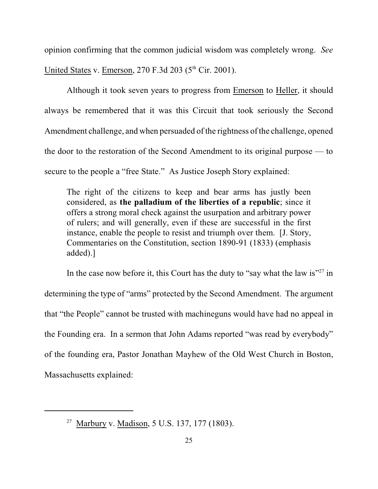opinion confirming that the common judicial wisdom was completely wrong. *See* United States v. Emerson,  $270$  F.3d  $203$  ( $5<sup>th</sup>$  Cir. 2001).

Although it took seven years to progress from Emerson to Heller, it should always be remembered that it was this Circuit that took seriously the Second Amendment challenge, and when persuaded of the rightness of the challenge, opened the door to the restoration of the Second Amendment to its original purpose — to secure to the people a "free State." As Justice Joseph Story explained:

The right of the citizens to keep and bear arms has justly been considered, as **the palladium of the liberties of a republic**; since it offers a strong moral check against the usurpation and arbitrary power of rulers; and will generally, even if these are successful in the first instance, enable the people to resist and triumph over them. [J. Story, Commentaries on the Constitution, section 1890-91 (1833) (emphasis added).]

In the case now before it, this Court has the duty to "say what the law is" $27$  in determining the type of "arms" protected by the Second Amendment. The argument that "the People" cannot be trusted with machineguns would have had no appeal in the Founding era. In a sermon that John Adams reported "was read by everybody" of the founding era, Pastor Jonathan Mayhew of the Old West Church in Boston, Massachusetts explained:

<sup>&</sup>lt;sup>27</sup> Marbury v. Madison, 5 U.S. 137, 177 (1803).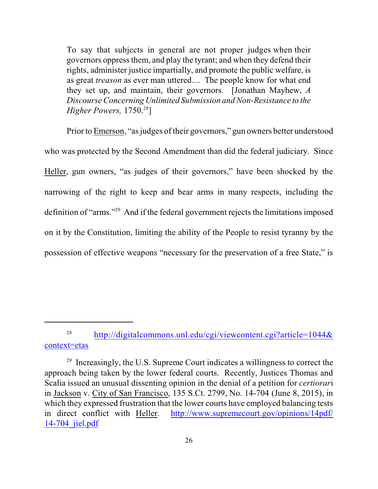To say that subjects in general are not proper judges when their governors oppress them, and play the tyrant; and when they defend their rights, administer justice impartially, and promote the public welfare, is as great *treason* as ever man uttered.... The people know for what end they set up, and maintain, their governors. [Jonathan Mayhew, *A DiscourseConcerning Unlimited Submission and Non-Resistance to the Higher Powers,* 1750.<sup>28</sup>]

Prior to Emerson, "as judges of their governors," gun owners better understood who was protected by the Second Amendment than did the federal judiciary. Since Heller, gun owners, "as judges of their governors," have been shocked by the narrowing of the right to keep and bear arms in many respects, including the definition of "arms."<sup>29</sup> And if the federal government rejects the limitations imposed on it by the Constitution, limiting the ability of the People to resist tyranny by the possession of effective weapons "necessary for the preservation of a free State," is

<sup>28</sup> [http://digitalcommons.unl.edu/cgi/viewcontent.cgi?article=1044&](http://digitalcommons.unl.edu/cgi/viewcontent.cgi?article=1044&context=etas) [context=etas](http://digitalcommons.unl.edu/cgi/viewcontent.cgi?article=1044&context=etas)

 $29$  Increasingly, the U.S. Supreme Court indicates a willingness to correct the approach being taken by the lower federal courts. Recently, Justices Thomas and Scalia issued an unusual dissenting opinion in the denial of a petition for *certiorar*i in Jackson v. City of San Francisco, 135 S.Ct. 2799, No. 14-704 (June 8, 2015), in which they expressed frustration that the lower courts have employed balancing tests in direct conflict with Heller. [http://www.supremecourt.gov/opinions/14pdf/](http://www.supremecourt.gov/opinions/14pdf/14-704_jiel.pdf) [14-704\\_jiel.pdf](http://www.supremecourt.gov/opinions/14pdf/14-704_jiel.pdf)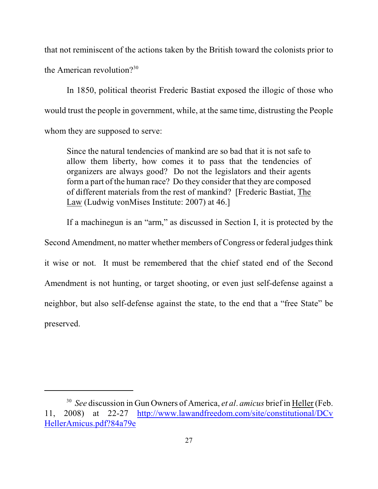that not reminiscent of the actions taken by the British toward the colonists prior to the American revolution $2^{30}$ 

In 1850, political theorist Frederic Bastiat exposed the illogic of those who would trust the people in government, while, at the same time, distrusting the People whom they are supposed to serve:

Since the natural tendencies of mankind are so bad that it is not safe to allow them liberty, how comes it to pass that the tendencies of organizers are always good? Do not the legislators and their agents form a part of the human race? Do they consider that they are composed of different materials from the rest of mankind? [Frederic Bastiat, The Law (Ludwig vonMises Institute: 2007) at 46.]

If a machinegun is an "arm," as discussed in Section I, it is protected by the Second Amendment, no matter whether members of Congress or federal judges think it wise or not. It must be remembered that the chief stated end of the Second Amendment is not hunting, or target shooting, or even just self-defense against a neighbor, but also self-defense against the state, to the end that a "free State" be preserved.

*See* discussion in Gun Owners of America, *et al*. *amicus* brief in Heller (Feb. 30 11, 2008) at 22-27 [http://www.lawandfreedom.com/site/constitutional/DCv](http://www.lawandfreedom.com/site/constitutional/DCvHellerAmicus.pdf?84a79e) [HellerAmicus.pdf?84a79e](http://www.lawandfreedom.com/site/constitutional/DCvHellerAmicus.pdf?84a79e)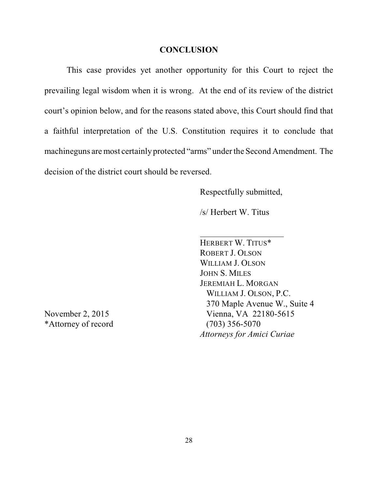#### **CONCLUSION**

This case provides yet another opportunity for this Court to reject the prevailing legal wisdom when it is wrong. At the end of its review of the district court's opinion below, and for the reasons stated above, this Court should find that a faithful interpretation of the U.S. Constitution requires it to conclude that machineguns are most certainly protected "arms" under the Second Amendment. The decision of the district court should be reversed.

Respectfully submitted,

/s/ Herbert W. Titus

HERBERT W. TITUS\* ROBERT J. OLSON WILLIAM J. OLSON JOHN S. MILES JEREMIAH L. MORGAN WILLIAM J. OLSON, P.C. 370 Maple Avenue W., Suite 4 November 2, 2015 Vienna, VA 22180-5615 *Attorneys for Amici Curiae*

\*Attorney of record (703) 356-5070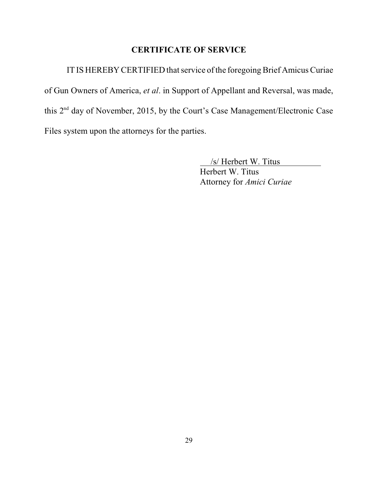# **CERTIFICATE OF SERVICE**

IT IS HEREBY CERTIFIED that service of the foregoing Brief Amicus Curiae of Gun Owners of America, *et al*. in Support of Appellant and Reversal, was made, this  $2<sup>nd</sup>$  day of November, 2015, by the Court's Case Management/Electronic Case Files system upon the attorneys for the parties.

/s/ Herbert W. Titus

Herbert W. Titus Attorney for *Amici Curiae*